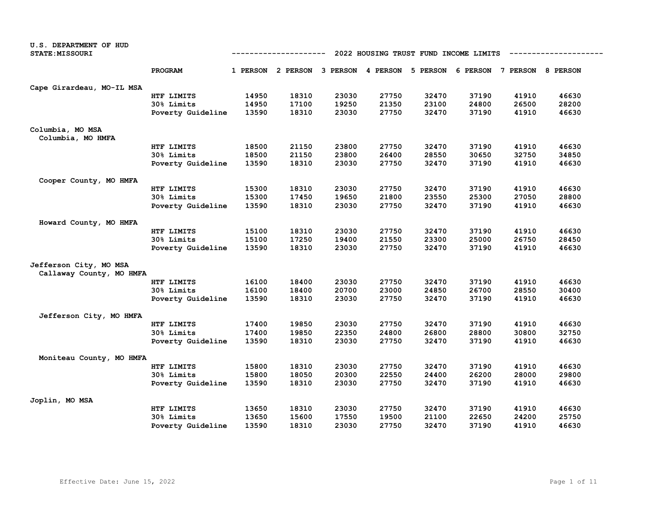| <b>U.S. DEPARTMENT OF HUD</b><br><b>STATE: MISSOURI</b> | 2022 HOUSING TRUST FUND INCOME LIMITS<br>---------- |       |       |       |       |       |                                                                         |       |       |  |  |
|---------------------------------------------------------|-----------------------------------------------------|-------|-------|-------|-------|-------|-------------------------------------------------------------------------|-------|-------|--|--|
|                                                         | PROGRAM                                             |       |       |       |       |       | 1 PERSON 2 PERSON 3 PERSON 4 PERSON 5 PERSON 6 PERSON 7 PERSON 8 PERSON |       |       |  |  |
| Cape Girardeau, MO-IL MSA                               |                                                     |       |       |       |       |       |                                                                         |       |       |  |  |
|                                                         | HTF LIMITS                                          | 14950 | 18310 | 23030 | 27750 | 32470 | 37190                                                                   | 41910 | 46630 |  |  |
|                                                         | 30% Limits                                          | 14950 | 17100 | 19250 | 21350 | 23100 | 24800                                                                   | 26500 | 28200 |  |  |
|                                                         | Poverty Guideline                                   | 13590 | 18310 | 23030 | 27750 | 32470 | 37190                                                                   | 41910 | 46630 |  |  |
| Columbia, MO MSA<br>Columbia, MO HMFA                   |                                                     |       |       |       |       |       |                                                                         |       |       |  |  |
|                                                         | HTF LIMITS                                          | 18500 | 21150 | 23800 | 27750 | 32470 | 37190                                                                   | 41910 | 46630 |  |  |
|                                                         | 30% Limits                                          | 18500 | 21150 | 23800 | 26400 | 28550 | 30650                                                                   | 32750 | 34850 |  |  |
|                                                         | Poverty Guideline                                   | 13590 | 18310 | 23030 | 27750 | 32470 | 37190                                                                   | 41910 | 46630 |  |  |
| Cooper County, MO HMFA                                  |                                                     |       |       |       |       |       |                                                                         |       |       |  |  |
|                                                         | HTF LIMITS                                          | 15300 | 18310 | 23030 | 27750 | 32470 | 37190                                                                   | 41910 | 46630 |  |  |
|                                                         | 30% Limits                                          | 15300 | 17450 | 19650 | 21800 | 23550 | 25300                                                                   | 27050 | 28800 |  |  |
|                                                         | Poverty Guideline                                   | 13590 | 18310 | 23030 | 27750 | 32470 | 37190                                                                   | 41910 | 46630 |  |  |
| Howard County, MO HMFA                                  |                                                     |       |       |       |       |       |                                                                         |       |       |  |  |
|                                                         | HTF LIMITS                                          | 15100 | 18310 | 23030 | 27750 | 32470 | 37190                                                                   | 41910 | 46630 |  |  |
|                                                         | 30% Limits                                          | 15100 | 17250 | 19400 | 21550 | 23300 | 25000                                                                   | 26750 | 28450 |  |  |
|                                                         | Poverty Guideline                                   | 13590 | 18310 | 23030 | 27750 | 32470 | 37190                                                                   | 41910 | 46630 |  |  |
| Jefferson City, MO MSA<br>Callaway County, MO HMFA      |                                                     |       |       |       |       |       |                                                                         |       |       |  |  |
|                                                         | HTF LIMITS                                          | 16100 | 18400 | 23030 | 27750 | 32470 | 37190                                                                   | 41910 | 46630 |  |  |
|                                                         | 30% Limits                                          | 16100 | 18400 | 20700 | 23000 | 24850 | 26700                                                                   | 28550 | 30400 |  |  |
|                                                         | Poverty Guideline                                   | 13590 | 18310 | 23030 | 27750 | 32470 | 37190                                                                   | 41910 | 46630 |  |  |
| Jefferson City, MO HMFA                                 |                                                     |       |       |       |       |       |                                                                         |       |       |  |  |
|                                                         | HTF LIMITS                                          | 17400 | 19850 | 23030 | 27750 | 32470 | 37190                                                                   | 41910 | 46630 |  |  |
|                                                         | 30% Limits                                          | 17400 | 19850 | 22350 | 24800 | 26800 | 28800                                                                   | 30800 | 32750 |  |  |
|                                                         | Poverty Guideline                                   | 13590 | 18310 | 23030 | 27750 | 32470 | 37190                                                                   | 41910 | 46630 |  |  |
| Moniteau County, MO HMFA                                |                                                     |       |       |       |       |       |                                                                         |       |       |  |  |
|                                                         | HTF LIMITS                                          | 15800 | 18310 | 23030 | 27750 | 32470 | 37190                                                                   | 41910 | 46630 |  |  |
|                                                         | 30% Limits                                          | 15800 | 18050 | 20300 | 22550 | 24400 | 26200                                                                   | 28000 | 29800 |  |  |
|                                                         | Poverty Guideline                                   | 13590 | 18310 | 23030 | 27750 | 32470 | 37190                                                                   | 41910 | 46630 |  |  |
| Joplin, MO MSA                                          |                                                     |       |       |       |       |       |                                                                         |       |       |  |  |
|                                                         | HTF LIMITS                                          | 13650 | 18310 | 23030 | 27750 | 32470 | 37190                                                                   | 41910 | 46630 |  |  |
|                                                         | 30% Limits                                          | 13650 | 15600 | 17550 | 19500 | 21100 | 22650                                                                   | 24200 | 25750 |  |  |
|                                                         | Poverty Guideline                                   | 13590 | 18310 | 23030 | 27750 | 32470 | 37190                                                                   | 41910 | 46630 |  |  |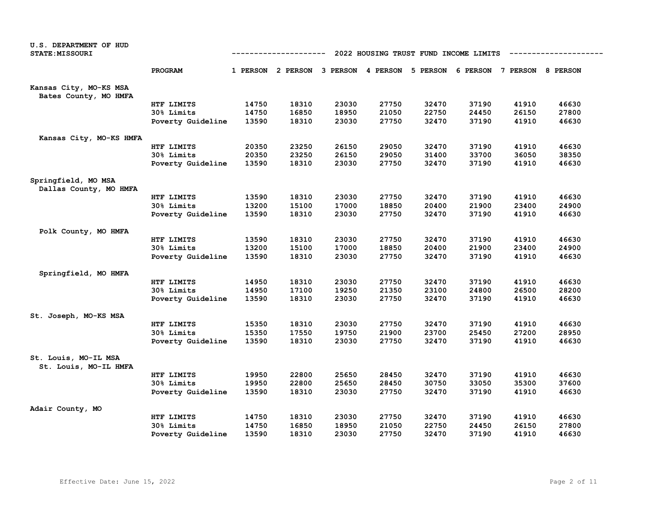| U.S. DEPARTMENT OF HUD<br><b>STATE: MISSOURI</b> | 2022 HOUSING TRUST FUND INCOME LIMITS<br>---------- |       |       |       |                                     |                 |       |                            |       |
|--------------------------------------------------|-----------------------------------------------------|-------|-------|-------|-------------------------------------|-----------------|-------|----------------------------|-------|
|                                                  | PROGRAM                                             |       |       |       | 1 PERSON 2 PERSON 3 PERSON 4 PERSON | <b>5 PERSON</b> |       | 6 PERSON 7 PERSON 8 PERSON |       |
| Kansas City, MO-KS MSA<br>Bates County, MO HMFA  |                                                     |       |       |       |                                     |                 |       |                            |       |
|                                                  | HTF LIMITS                                          | 14750 | 18310 | 23030 | 27750                               | 32470           | 37190 | 41910                      | 46630 |
|                                                  | 30% Limits                                          | 14750 | 16850 | 18950 | 21050                               | 22750           | 24450 | 26150                      | 27800 |
|                                                  | Poverty Guideline                                   | 13590 | 18310 | 23030 | 27750                               | 32470           | 37190 | 41910                      | 46630 |
| Kansas City, MO-KS HMFA                          |                                                     |       |       |       |                                     |                 |       |                            |       |
|                                                  | HTF LIMITS                                          | 20350 | 23250 | 26150 | 29050                               | 32470           | 37190 | 41910                      | 46630 |
|                                                  | 30% Limits                                          | 20350 | 23250 | 26150 | 29050                               | 31400           | 33700 | 36050                      | 38350 |
|                                                  | Poverty Guideline                                   | 13590 | 18310 | 23030 | 27750                               | 32470           | 37190 | 41910                      | 46630 |
| Springfield, MO MSA<br>Dallas County, MO HMFA    |                                                     |       |       |       |                                     |                 |       |                            |       |
|                                                  | HTF LIMITS                                          | 13590 | 18310 | 23030 | 27750                               | 32470           | 37190 | 41910                      | 46630 |
|                                                  | 30% Limits                                          | 13200 | 15100 | 17000 | 18850                               | 20400           | 21900 | 23400                      | 24900 |
|                                                  | Poverty Guideline                                   | 13590 | 18310 | 23030 | 27750                               | 32470           | 37190 | 41910                      | 46630 |
| Polk County, MO HMFA                             |                                                     |       |       |       |                                     |                 |       |                            |       |
|                                                  | HTF LIMITS                                          | 13590 | 18310 | 23030 | 27750                               | 32470           | 37190 | 41910                      | 46630 |
|                                                  | 30% Limits                                          | 13200 | 15100 | 17000 | 18850                               | 20400           | 21900 | 23400                      | 24900 |
|                                                  | Poverty Guideline                                   | 13590 | 18310 | 23030 | 27750                               | 32470           | 37190 | 41910                      | 46630 |
| Springfield, MO HMFA                             |                                                     |       |       |       |                                     |                 |       |                            |       |
|                                                  | HTF LIMITS                                          | 14950 | 18310 | 23030 | 27750                               | 32470           | 37190 | 41910                      | 46630 |
|                                                  | 30% Limits                                          | 14950 | 17100 | 19250 | 21350                               | 23100           | 24800 | 26500                      | 28200 |
|                                                  | Poverty Guideline                                   | 13590 | 18310 | 23030 | 27750                               | 32470           | 37190 | 41910                      | 46630 |
| St. Joseph, MO-KS MSA                            |                                                     |       |       |       |                                     |                 |       |                            |       |
|                                                  | HTF LIMITS                                          | 15350 | 18310 | 23030 | 27750                               | 32470           | 37190 | 41910                      | 46630 |
|                                                  | 30% Limits                                          | 15350 | 17550 | 19750 | 21900                               | 23700           | 25450 | 27200                      | 28950 |
|                                                  | Poverty Guideline                                   | 13590 | 18310 | 23030 | 27750                               | 32470           | 37190 | 41910                      | 46630 |
| St. Louis, MO-IL MSA<br>St. Louis, MO-IL HMFA    |                                                     |       |       |       |                                     |                 |       |                            |       |
|                                                  | HTF LIMITS                                          | 19950 | 22800 | 25650 | 28450                               | 32470           | 37190 | 41910                      | 46630 |
|                                                  | 30% Limits                                          | 19950 | 22800 | 25650 | 28450                               | 30750           | 33050 | 35300                      | 37600 |
|                                                  | Poverty Guideline                                   | 13590 | 18310 | 23030 | 27750                               | 32470           | 37190 | 41910                      | 46630 |
| Adair County, MO                                 |                                                     |       |       |       |                                     |                 |       |                            |       |
|                                                  | HTF LIMITS                                          | 14750 | 18310 | 23030 | 27750                               | 32470           | 37190 | 41910                      | 46630 |
|                                                  | 30% Limits                                          | 14750 | 16850 | 18950 | 21050                               | 22750           | 24450 | 26150                      | 27800 |
|                                                  | Poverty Guideline                                   | 13590 | 18310 | 23030 | 27750                               | 32470           | 37190 | 41910                      | 46630 |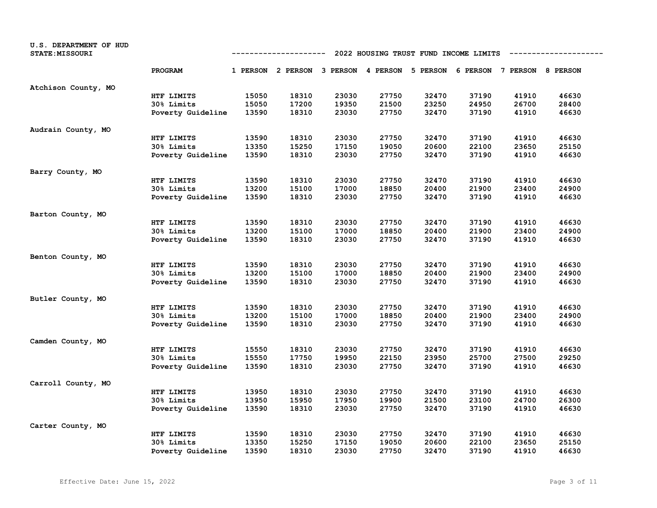| U.S. DEPARTMENT OF HUD<br><b>STATE: MISSOURI</b> | 2022 HOUSING TRUST FUND INCOME LIMITS<br>----------- |       |                                                                         |       |       |       |       |       |       |
|--------------------------------------------------|------------------------------------------------------|-------|-------------------------------------------------------------------------|-------|-------|-------|-------|-------|-------|
|                                                  | PROGRAM                                              |       | 1 PERSON 2 PERSON 3 PERSON 4 PERSON 5 PERSON 6 PERSON 7 PERSON 8 PERSON |       |       |       |       |       |       |
| Atchison County, MO                              |                                                      |       |                                                                         |       |       |       |       |       |       |
|                                                  | HTF LIMITS                                           | 15050 | 18310                                                                   | 23030 | 27750 | 32470 | 37190 | 41910 | 46630 |
|                                                  | 30% Limits                                           | 15050 | 17200                                                                   | 19350 | 21500 | 23250 | 24950 | 26700 | 28400 |
|                                                  | Poverty Guideline                                    | 13590 | 18310                                                                   | 23030 | 27750 | 32470 | 37190 | 41910 | 46630 |
| Audrain County, MO                               |                                                      |       |                                                                         |       |       |       |       |       |       |
|                                                  | HTF LIMITS                                           | 13590 | 18310                                                                   | 23030 | 27750 | 32470 | 37190 | 41910 | 46630 |
|                                                  | 30% Limits                                           | 13350 | 15250                                                                   | 17150 | 19050 | 20600 | 22100 | 23650 | 25150 |
|                                                  | Poverty Guideline                                    | 13590 | 18310                                                                   | 23030 | 27750 | 32470 | 37190 | 41910 | 46630 |
| Barry County, MO                                 |                                                      |       |                                                                         |       |       |       |       |       |       |
|                                                  | HTF LIMITS                                           | 13590 | 18310                                                                   | 23030 | 27750 | 32470 | 37190 | 41910 | 46630 |
|                                                  | 30% Limits                                           | 13200 | 15100                                                                   | 17000 | 18850 | 20400 | 21900 | 23400 | 24900 |
|                                                  | Poverty Guideline                                    | 13590 | 18310                                                                   | 23030 | 27750 | 32470 | 37190 | 41910 | 46630 |
| Barton County, MO                                |                                                      |       |                                                                         |       |       |       |       |       |       |
|                                                  | HTF LIMITS                                           | 13590 | 18310                                                                   | 23030 | 27750 | 32470 | 37190 | 41910 | 46630 |
|                                                  | 30% Limits                                           | 13200 | 15100                                                                   | 17000 | 18850 | 20400 | 21900 | 23400 | 24900 |
|                                                  | Poverty Guideline                                    | 13590 | 18310                                                                   | 23030 | 27750 | 32470 | 37190 | 41910 | 46630 |
| Benton County, MO                                |                                                      |       |                                                                         |       |       |       |       |       |       |
|                                                  | HTF LIMITS                                           | 13590 | 18310                                                                   | 23030 | 27750 | 32470 | 37190 | 41910 | 46630 |
|                                                  | 30% Limits                                           | 13200 | 15100                                                                   | 17000 | 18850 | 20400 | 21900 | 23400 | 24900 |
|                                                  | Poverty Guideline                                    | 13590 | 18310                                                                   | 23030 | 27750 | 32470 | 37190 | 41910 | 46630 |
| Butler County, MO                                |                                                      |       |                                                                         |       |       |       |       |       |       |
|                                                  | HTF LIMITS                                           | 13590 | 18310                                                                   | 23030 | 27750 | 32470 | 37190 | 41910 | 46630 |
|                                                  | 30% Limits                                           | 13200 | 15100                                                                   | 17000 | 18850 | 20400 | 21900 | 23400 | 24900 |
|                                                  | Poverty Guideline                                    | 13590 | 18310                                                                   | 23030 | 27750 | 32470 | 37190 | 41910 | 46630 |
| Camden County, MO                                |                                                      |       |                                                                         |       |       |       |       |       |       |
|                                                  | HTF LIMITS                                           | 15550 | 18310                                                                   | 23030 | 27750 | 32470 | 37190 | 41910 | 46630 |
|                                                  | 30% Limits                                           | 15550 | 17750                                                                   | 19950 | 22150 | 23950 | 25700 | 27500 | 29250 |
|                                                  | Poverty Guideline                                    | 13590 | 18310                                                                   | 23030 | 27750 | 32470 | 37190 | 41910 | 46630 |
| Carroll County, MO                               |                                                      |       |                                                                         |       |       |       |       |       |       |
|                                                  | HTF LIMITS                                           | 13950 | 18310                                                                   | 23030 | 27750 | 32470 | 37190 | 41910 | 46630 |
|                                                  | 30% Limits                                           | 13950 | 15950                                                                   | 17950 | 19900 | 21500 | 23100 | 24700 | 26300 |
|                                                  | Poverty Guideline                                    | 13590 | 18310                                                                   | 23030 | 27750 | 32470 | 37190 | 41910 | 46630 |
| Carter County, MO                                |                                                      |       |                                                                         |       |       |       |       |       |       |
|                                                  | HTF LIMITS                                           | 13590 | 18310                                                                   | 23030 | 27750 | 32470 | 37190 | 41910 | 46630 |
|                                                  | 30% Limits                                           | 13350 | 15250                                                                   | 17150 | 19050 | 20600 | 22100 | 23650 | 25150 |
|                                                  | Poverty Guideline                                    | 13590 | 18310                                                                   | 23030 | 27750 | 32470 | 37190 | 41910 | 46630 |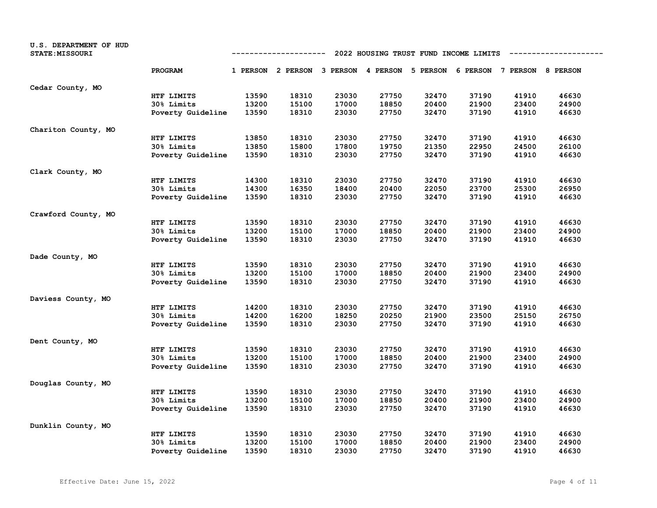| U.S. DEPARTMENT OF HUD<br><b>STATE: MISSOURI</b> | 2022 HOUSING TRUST FUND INCOME LIMITS<br>----------- |       |                                                                         |       |       |       |       |       |       |
|--------------------------------------------------|------------------------------------------------------|-------|-------------------------------------------------------------------------|-------|-------|-------|-------|-------|-------|
|                                                  | PROGRAM                                              |       | 1 PERSON 2 PERSON 3 PERSON 4 PERSON 5 PERSON 6 PERSON 7 PERSON 8 PERSON |       |       |       |       |       |       |
| Cedar County, MO                                 |                                                      |       |                                                                         |       |       |       |       |       |       |
|                                                  | HTF LIMITS                                           | 13590 | 18310                                                                   | 23030 | 27750 | 32470 | 37190 | 41910 | 46630 |
|                                                  | 30% Limits                                           | 13200 | 15100                                                                   | 17000 | 18850 | 20400 | 21900 | 23400 | 24900 |
|                                                  | Poverty Guideline                                    | 13590 | 18310                                                                   | 23030 | 27750 | 32470 | 37190 | 41910 | 46630 |
| Chariton County, MO                              |                                                      |       |                                                                         |       |       |       |       |       |       |
|                                                  | HTF LIMITS                                           | 13850 | 18310                                                                   | 23030 | 27750 | 32470 | 37190 | 41910 | 46630 |
|                                                  | 30% Limits                                           | 13850 | 15800                                                                   | 17800 | 19750 | 21350 | 22950 | 24500 | 26100 |
|                                                  | Poverty Guideline                                    | 13590 | 18310                                                                   | 23030 | 27750 | 32470 | 37190 | 41910 | 46630 |
| Clark County, MO                                 |                                                      |       |                                                                         |       |       |       |       |       |       |
|                                                  | HTF LIMITS                                           | 14300 | 18310                                                                   | 23030 | 27750 | 32470 | 37190 | 41910 | 46630 |
|                                                  | 30% Limits                                           | 14300 | 16350                                                                   | 18400 | 20400 | 22050 | 23700 | 25300 | 26950 |
|                                                  | Poverty Guideline                                    | 13590 | 18310                                                                   | 23030 | 27750 | 32470 | 37190 | 41910 | 46630 |
| Crawford County, MO                              |                                                      |       |                                                                         |       |       |       |       |       |       |
|                                                  | HTF LIMITS                                           | 13590 | 18310                                                                   | 23030 | 27750 | 32470 | 37190 | 41910 | 46630 |
|                                                  | 30% Limits                                           | 13200 | 15100                                                                   | 17000 | 18850 | 20400 | 21900 | 23400 | 24900 |
|                                                  | Poverty Guideline                                    | 13590 | 18310                                                                   | 23030 | 27750 | 32470 | 37190 | 41910 | 46630 |
| Dade County, MO                                  |                                                      |       |                                                                         |       |       |       |       |       |       |
|                                                  | HTF LIMITS                                           | 13590 | 18310                                                                   | 23030 | 27750 | 32470 | 37190 | 41910 | 46630 |
|                                                  | 30% Limits                                           | 13200 | 15100                                                                   | 17000 | 18850 | 20400 | 21900 | 23400 | 24900 |
|                                                  | Poverty Guideline                                    | 13590 | 18310                                                                   | 23030 | 27750 | 32470 | 37190 | 41910 | 46630 |
| Daviess County, MO                               |                                                      |       |                                                                         |       |       |       |       |       |       |
|                                                  | HTF LIMITS                                           | 14200 | 18310                                                                   | 23030 | 27750 | 32470 | 37190 | 41910 | 46630 |
|                                                  | 30% Limits                                           | 14200 | 16200                                                                   | 18250 | 20250 | 21900 | 23500 | 25150 | 26750 |
|                                                  | Poverty Guideline                                    | 13590 | 18310                                                                   | 23030 | 27750 | 32470 | 37190 | 41910 | 46630 |
| Dent County, MO                                  |                                                      |       |                                                                         |       |       |       |       |       |       |
|                                                  | HTF LIMITS                                           | 13590 | 18310                                                                   | 23030 | 27750 | 32470 | 37190 | 41910 | 46630 |
|                                                  | 30% Limits                                           | 13200 | 15100                                                                   | 17000 | 18850 | 20400 | 21900 | 23400 | 24900 |
|                                                  | Poverty Guideline                                    | 13590 | 18310                                                                   | 23030 | 27750 | 32470 | 37190 | 41910 | 46630 |
| Douglas County, MO                               |                                                      |       |                                                                         |       |       |       |       |       |       |
|                                                  | HTF LIMITS                                           | 13590 | 18310                                                                   | 23030 | 27750 | 32470 | 37190 | 41910 | 46630 |
|                                                  | 30% Limits                                           | 13200 | 15100                                                                   | 17000 | 18850 | 20400 | 21900 | 23400 | 24900 |
|                                                  | Poverty Guideline                                    | 13590 | 18310                                                                   | 23030 | 27750 | 32470 | 37190 | 41910 | 46630 |
| Dunklin County, MO                               |                                                      |       |                                                                         |       |       |       |       |       |       |
|                                                  | HTF LIMITS                                           | 13590 | 18310                                                                   | 23030 | 27750 | 32470 | 37190 | 41910 | 46630 |
|                                                  | 30% Limits                                           | 13200 | 15100                                                                   | 17000 | 18850 | 20400 | 21900 | 23400 | 24900 |
|                                                  | Poverty Guideline                                    | 13590 | 18310                                                                   | 23030 | 27750 | 32470 | 37190 | 41910 | 46630 |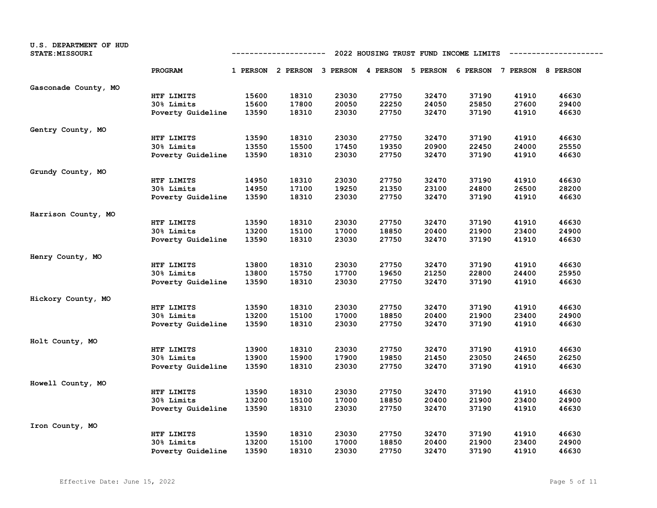| U.S. DEPARTMENT OF HUD<br><b>STATE: MISSOURI</b> | 2022 HOUSING TRUST FUND INCOME LIMITS<br>---------- |       |                                                                         |       |       |       |       |       |       |
|--------------------------------------------------|-----------------------------------------------------|-------|-------------------------------------------------------------------------|-------|-------|-------|-------|-------|-------|
|                                                  | PROGRAM                                             |       | 1 PERSON 2 PERSON 3 PERSON 4 PERSON 5 PERSON 6 PERSON 7 PERSON 8 PERSON |       |       |       |       |       |       |
| Gasconade County, MO                             |                                                     |       |                                                                         |       |       |       |       |       |       |
|                                                  | HTF LIMITS                                          | 15600 | 18310                                                                   | 23030 | 27750 | 32470 | 37190 | 41910 | 46630 |
|                                                  | 30% Limits                                          | 15600 | 17800                                                                   | 20050 | 22250 | 24050 | 25850 | 27600 | 29400 |
|                                                  | Poverty Guideline                                   | 13590 | 18310                                                                   | 23030 | 27750 | 32470 | 37190 | 41910 | 46630 |
| Gentry County, MO                                |                                                     |       |                                                                         |       |       |       |       |       |       |
|                                                  | HTF LIMITS                                          | 13590 | 18310                                                                   | 23030 | 27750 | 32470 | 37190 | 41910 | 46630 |
|                                                  | 30% Limits                                          | 13550 | 15500                                                                   | 17450 | 19350 | 20900 | 22450 | 24000 | 25550 |
|                                                  | Poverty Guideline                                   | 13590 | 18310                                                                   | 23030 | 27750 | 32470 | 37190 | 41910 | 46630 |
| Grundy County, MO                                |                                                     |       |                                                                         |       |       |       |       |       |       |
|                                                  | HTF LIMITS                                          | 14950 | 18310                                                                   | 23030 | 27750 | 32470 | 37190 | 41910 | 46630 |
|                                                  | 30% Limits                                          | 14950 | 17100                                                                   | 19250 | 21350 | 23100 | 24800 | 26500 | 28200 |
|                                                  | Poverty Guideline                                   | 13590 | 18310                                                                   | 23030 | 27750 | 32470 | 37190 | 41910 | 46630 |
| Harrison County, MO                              |                                                     |       |                                                                         |       |       |       |       |       |       |
|                                                  | HTF LIMITS                                          | 13590 | 18310                                                                   | 23030 | 27750 | 32470 | 37190 | 41910 | 46630 |
|                                                  | 30% Limits                                          | 13200 | 15100                                                                   | 17000 | 18850 | 20400 | 21900 | 23400 | 24900 |
|                                                  | Poverty Guideline                                   | 13590 | 18310                                                                   | 23030 | 27750 | 32470 | 37190 | 41910 | 46630 |
| Henry County, MO                                 |                                                     |       |                                                                         |       |       |       |       |       |       |
|                                                  | HTF LIMITS                                          | 13800 | 18310                                                                   | 23030 | 27750 | 32470 | 37190 | 41910 | 46630 |
|                                                  | 30% Limits                                          | 13800 | 15750                                                                   | 17700 | 19650 | 21250 | 22800 | 24400 | 25950 |
|                                                  | Poverty Guideline                                   | 13590 | 18310                                                                   | 23030 | 27750 | 32470 | 37190 | 41910 | 46630 |
| Hickory County, MO                               |                                                     |       |                                                                         |       |       |       |       |       |       |
|                                                  | HTF LIMITS                                          | 13590 | 18310                                                                   | 23030 | 27750 | 32470 | 37190 | 41910 | 46630 |
|                                                  | 30% Limits                                          | 13200 | 15100                                                                   | 17000 | 18850 | 20400 | 21900 | 23400 | 24900 |
|                                                  | Poverty Guideline                                   | 13590 | 18310                                                                   | 23030 | 27750 | 32470 | 37190 | 41910 | 46630 |
| Holt County, MO                                  |                                                     |       |                                                                         |       |       |       |       |       |       |
|                                                  | HTF LIMITS                                          | 13900 | 18310                                                                   | 23030 | 27750 | 32470 | 37190 | 41910 | 46630 |
|                                                  | 30% Limits                                          | 13900 | 15900                                                                   | 17900 | 19850 | 21450 | 23050 | 24650 | 26250 |
|                                                  | Poverty Guideline                                   | 13590 | 18310                                                                   | 23030 | 27750 | 32470 | 37190 | 41910 | 46630 |
| Howell County, MO                                |                                                     |       |                                                                         |       |       |       |       |       |       |
|                                                  | HTF LIMITS                                          | 13590 | 18310                                                                   | 23030 | 27750 | 32470 | 37190 | 41910 | 46630 |
|                                                  | 30% Limits                                          | 13200 | 15100                                                                   | 17000 | 18850 | 20400 | 21900 | 23400 | 24900 |
|                                                  | Poverty Guideline                                   | 13590 | 18310                                                                   | 23030 | 27750 | 32470 | 37190 | 41910 | 46630 |
| Iron County, MO                                  |                                                     |       |                                                                         |       |       |       |       |       |       |
|                                                  | HTF LIMITS                                          | 13590 | 18310                                                                   | 23030 | 27750 | 32470 | 37190 | 41910 | 46630 |
|                                                  | 30% Limits                                          | 13200 | 15100                                                                   | 17000 | 18850 | 20400 | 21900 | 23400 | 24900 |
|                                                  | Poverty Guideline                                   | 13590 | 18310                                                                   | 23030 | 27750 | 32470 | 37190 | 41910 | 46630 |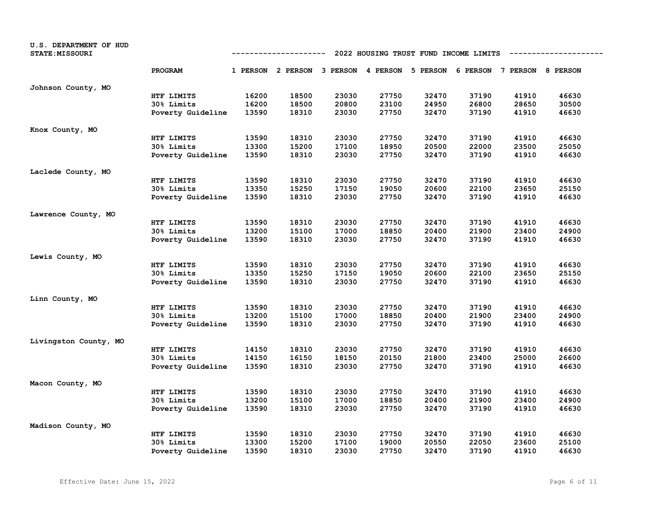| U.S. DEPARTMENT OF HUD<br><b>STATE: MISSOURI</b> | 2022 HOUSING TRUST FUND INCOME LIMITS<br>----------- |       |                                                                         |       |       |       |       |       |       |
|--------------------------------------------------|------------------------------------------------------|-------|-------------------------------------------------------------------------|-------|-------|-------|-------|-------|-------|
|                                                  | PROGRAM                                              |       | 1 PERSON 2 PERSON 3 PERSON 4 PERSON 5 PERSON 6 PERSON 7 PERSON 8 PERSON |       |       |       |       |       |       |
| Johnson County, MO                               |                                                      |       |                                                                         |       |       |       |       |       |       |
|                                                  | HTF LIMITS                                           | 16200 | 18500                                                                   | 23030 | 27750 | 32470 | 37190 | 41910 | 46630 |
|                                                  | 30% Limits                                           | 16200 | 18500                                                                   | 20800 | 23100 | 24950 | 26800 | 28650 | 30500 |
|                                                  | Poverty Guideline                                    | 13590 | 18310                                                                   | 23030 | 27750 | 32470 | 37190 | 41910 | 46630 |
| Knox County, MO                                  |                                                      |       |                                                                         |       |       |       |       |       |       |
|                                                  | HTF LIMITS                                           | 13590 | 18310                                                                   | 23030 | 27750 | 32470 | 37190 | 41910 | 46630 |
|                                                  | 30% Limits                                           | 13300 | 15200                                                                   | 17100 | 18950 | 20500 | 22000 | 23500 | 25050 |
|                                                  | Poverty Guideline                                    | 13590 | 18310                                                                   | 23030 | 27750 | 32470 | 37190 | 41910 | 46630 |
| Laclede County, MO                               |                                                      |       |                                                                         |       |       |       |       |       |       |
|                                                  | HTF LIMITS                                           | 13590 | 18310                                                                   | 23030 | 27750 | 32470 | 37190 | 41910 | 46630 |
|                                                  | <b>30% Limits</b>                                    | 13350 | 15250                                                                   | 17150 | 19050 | 20600 | 22100 | 23650 | 25150 |
|                                                  | Poverty Guideline                                    | 13590 | 18310                                                                   | 23030 | 27750 | 32470 | 37190 | 41910 | 46630 |
| Lawrence County, MO                              |                                                      |       |                                                                         |       |       |       |       |       |       |
|                                                  | HTF LIMITS                                           | 13590 | 18310                                                                   | 23030 | 27750 | 32470 | 37190 | 41910 | 46630 |
|                                                  | 30% Limits                                           | 13200 | 15100                                                                   | 17000 | 18850 | 20400 | 21900 | 23400 | 24900 |
|                                                  | Poverty Guideline                                    | 13590 | 18310                                                                   | 23030 | 27750 | 32470 | 37190 | 41910 | 46630 |
| Lewis County, MO                                 |                                                      |       |                                                                         |       |       |       |       |       |       |
|                                                  | HTF LIMITS                                           | 13590 | 18310                                                                   | 23030 | 27750 | 32470 | 37190 | 41910 | 46630 |
|                                                  | 30% Limits                                           | 13350 | 15250                                                                   | 17150 | 19050 | 20600 | 22100 | 23650 | 25150 |
|                                                  | Poverty Guideline                                    | 13590 | 18310                                                                   | 23030 | 27750 | 32470 | 37190 | 41910 | 46630 |
| Linn County, MO                                  |                                                      |       |                                                                         |       |       |       |       |       |       |
|                                                  | HTF LIMITS                                           | 13590 | 18310                                                                   | 23030 | 27750 | 32470 | 37190 | 41910 | 46630 |
|                                                  | 30% Limits                                           | 13200 | 15100                                                                   | 17000 | 18850 | 20400 | 21900 | 23400 | 24900 |
|                                                  | Poverty Guideline                                    | 13590 | 18310                                                                   | 23030 | 27750 | 32470 | 37190 | 41910 | 46630 |
| Livingston County, MO                            |                                                      |       |                                                                         |       |       |       |       |       |       |
|                                                  | HTF LIMITS                                           | 14150 | 18310                                                                   | 23030 | 27750 | 32470 | 37190 | 41910 | 46630 |
|                                                  | 30% Limits                                           | 14150 | 16150                                                                   | 18150 | 20150 | 21800 | 23400 | 25000 | 26600 |
|                                                  | Poverty Guideline                                    | 13590 | 18310                                                                   | 23030 | 27750 | 32470 | 37190 | 41910 | 46630 |
| Macon County, MO                                 |                                                      |       |                                                                         |       |       |       |       |       |       |
|                                                  | HTF LIMITS                                           | 13590 | 18310                                                                   | 23030 | 27750 | 32470 | 37190 | 41910 | 46630 |
|                                                  | 30% Limits                                           | 13200 | 15100                                                                   | 17000 | 18850 | 20400 | 21900 | 23400 | 24900 |
|                                                  | Poverty Guideline                                    | 13590 | 18310                                                                   | 23030 | 27750 | 32470 | 37190 | 41910 | 46630 |
| Madison County, MO                               |                                                      |       |                                                                         |       |       |       |       |       |       |
|                                                  | HTF LIMITS                                           | 13590 | 18310                                                                   | 23030 | 27750 | 32470 | 37190 | 41910 | 46630 |
|                                                  | 30% Limits                                           | 13300 | 15200                                                                   | 17100 | 19000 | 20550 | 22050 | 23600 | 25100 |
|                                                  | Poverty Guideline                                    | 13590 | 18310                                                                   | 23030 | 27750 | 32470 | 37190 | 41910 | 46630 |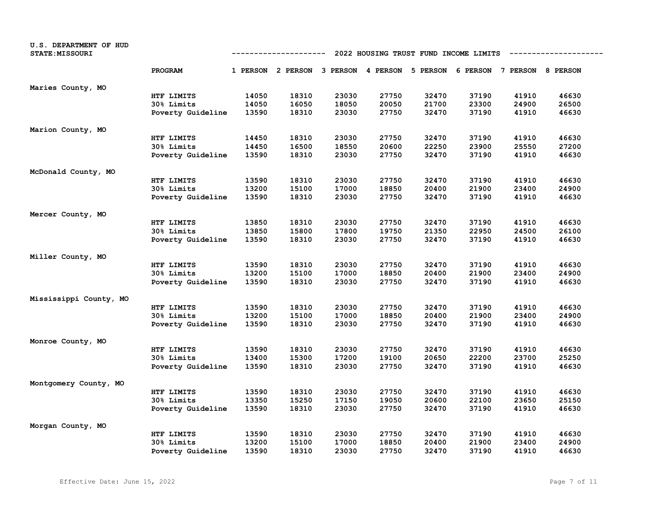| U.S. DEPARTMENT OF HUD<br><b>STATE: MISSOURI</b> | 2022 HOUSING TRUST FUND INCOME LIMITS<br>---------- |       |                                                                         |       |       |       |       |       |       |
|--------------------------------------------------|-----------------------------------------------------|-------|-------------------------------------------------------------------------|-------|-------|-------|-------|-------|-------|
|                                                  | PROGRAM                                             |       | 1 PERSON 2 PERSON 3 PERSON 4 PERSON 5 PERSON 6 PERSON 7 PERSON 8 PERSON |       |       |       |       |       |       |
| Maries County, MO                                |                                                     |       |                                                                         |       |       |       |       |       |       |
|                                                  | HTF LIMITS                                          | 14050 | 18310                                                                   | 23030 | 27750 | 32470 | 37190 | 41910 | 46630 |
|                                                  | 30% Limits                                          | 14050 | 16050                                                                   | 18050 | 20050 | 21700 | 23300 | 24900 | 26500 |
|                                                  | Poverty Guideline                                   | 13590 | 18310                                                                   | 23030 | 27750 | 32470 | 37190 | 41910 | 46630 |
| Marion County, MO                                |                                                     |       |                                                                         |       |       |       |       |       |       |
|                                                  | HTF LIMITS                                          | 14450 | 18310                                                                   | 23030 | 27750 | 32470 | 37190 | 41910 | 46630 |
|                                                  | 30% Limits                                          | 14450 | 16500                                                                   | 18550 | 20600 | 22250 | 23900 | 25550 | 27200 |
|                                                  | Poverty Guideline                                   | 13590 | 18310                                                                   | 23030 | 27750 | 32470 | 37190 | 41910 | 46630 |
| McDonald County, MO                              |                                                     |       |                                                                         |       |       |       |       |       |       |
|                                                  | HTF LIMITS                                          | 13590 | 18310                                                                   | 23030 | 27750 | 32470 | 37190 | 41910 | 46630 |
|                                                  | 30% Limits                                          | 13200 | 15100                                                                   | 17000 | 18850 | 20400 | 21900 | 23400 | 24900 |
|                                                  | Poverty Guideline                                   | 13590 | 18310                                                                   | 23030 | 27750 | 32470 | 37190 | 41910 | 46630 |
| Mercer County, MO                                |                                                     |       |                                                                         |       |       |       |       |       |       |
|                                                  | HTF LIMITS                                          | 13850 | 18310                                                                   | 23030 | 27750 | 32470 | 37190 | 41910 | 46630 |
|                                                  | 30% Limits                                          | 13850 | 15800                                                                   | 17800 | 19750 | 21350 | 22950 | 24500 | 26100 |
|                                                  | Poverty Guideline                                   | 13590 | 18310                                                                   | 23030 | 27750 | 32470 | 37190 | 41910 | 46630 |
| Miller County, MO                                |                                                     |       |                                                                         |       |       |       |       |       |       |
|                                                  | HTF LIMITS                                          | 13590 | 18310                                                                   | 23030 | 27750 | 32470 | 37190 | 41910 | 46630 |
|                                                  | 30% Limits                                          | 13200 | 15100                                                                   | 17000 | 18850 | 20400 | 21900 | 23400 | 24900 |
|                                                  | Poverty Guideline                                   | 13590 | 18310                                                                   | 23030 | 27750 | 32470 | 37190 | 41910 | 46630 |
| Mississippi County, MO                           |                                                     |       |                                                                         |       |       |       |       |       |       |
|                                                  | HTF LIMITS                                          | 13590 | 18310                                                                   | 23030 | 27750 | 32470 | 37190 | 41910 | 46630 |
|                                                  | 30% Limits                                          | 13200 | 15100                                                                   | 17000 | 18850 | 20400 | 21900 | 23400 | 24900 |
|                                                  | Poverty Guideline                                   | 13590 | 18310                                                                   | 23030 | 27750 | 32470 | 37190 | 41910 | 46630 |
| Monroe County, MO                                |                                                     |       |                                                                         |       |       |       |       |       |       |
|                                                  | HTF LIMITS                                          | 13590 | 18310                                                                   | 23030 | 27750 | 32470 | 37190 | 41910 | 46630 |
|                                                  | 30% Limits                                          | 13400 | 15300                                                                   | 17200 | 19100 | 20650 | 22200 | 23700 | 25250 |
|                                                  | Poverty Guideline                                   | 13590 | 18310                                                                   | 23030 | 27750 | 32470 | 37190 | 41910 | 46630 |
| Montgomery County, MO                            |                                                     |       |                                                                         |       |       |       |       |       |       |
|                                                  | HTF LIMITS                                          | 13590 | 18310                                                                   | 23030 | 27750 | 32470 | 37190 | 41910 | 46630 |
|                                                  | 30% Limits                                          | 13350 | 15250                                                                   | 17150 | 19050 | 20600 | 22100 | 23650 | 25150 |
|                                                  | Poverty Guideline                                   | 13590 | 18310                                                                   | 23030 | 27750 | 32470 | 37190 | 41910 | 46630 |
| Morgan County, MO                                |                                                     |       |                                                                         |       |       |       |       |       |       |
|                                                  | HTF LIMITS                                          | 13590 | 18310                                                                   | 23030 | 27750 | 32470 | 37190 | 41910 | 46630 |
|                                                  | 30% Limits                                          | 13200 | 15100                                                                   | 17000 | 18850 | 20400 | 21900 | 23400 | 24900 |
|                                                  | Poverty Guideline                                   | 13590 | 18310                                                                   | 23030 | 27750 | 32470 | 37190 | 41910 | 46630 |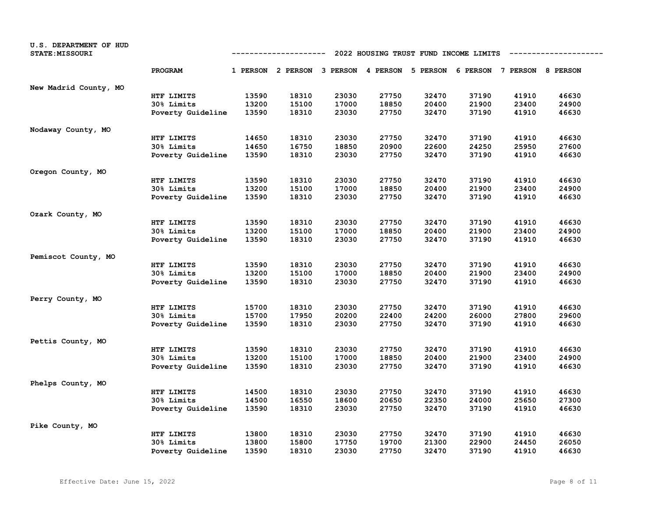| U.S. DEPARTMENT OF HUD<br>STATE: MISSOURI | 2022 HOUSING TRUST FUND INCOME LIMITS<br>---------- |       |                                                                         |       |       |       |       |       |       |
|-------------------------------------------|-----------------------------------------------------|-------|-------------------------------------------------------------------------|-------|-------|-------|-------|-------|-------|
|                                           | PROGRAM                                             |       | 1 PERSON 2 PERSON 3 PERSON 4 PERSON 5 PERSON 6 PERSON 7 PERSON 8 PERSON |       |       |       |       |       |       |
| New Madrid County, MO                     |                                                     |       |                                                                         |       |       |       |       |       |       |
|                                           | HTF LIMITS                                          | 13590 | 18310                                                                   | 23030 | 27750 | 32470 | 37190 | 41910 | 46630 |
|                                           | 30% Limits                                          | 13200 | 15100                                                                   | 17000 | 18850 | 20400 | 21900 | 23400 | 24900 |
|                                           | Poverty Guideline                                   | 13590 | 18310                                                                   | 23030 | 27750 | 32470 | 37190 | 41910 | 46630 |
| Nodaway County, MO                        |                                                     |       |                                                                         |       |       |       |       |       |       |
|                                           | HTF LIMITS                                          | 14650 | 18310                                                                   | 23030 | 27750 | 32470 | 37190 | 41910 | 46630 |
|                                           | 30% Limits                                          | 14650 | 16750                                                                   | 18850 | 20900 | 22600 | 24250 | 25950 | 27600 |
|                                           | Poverty Guideline                                   | 13590 | 18310                                                                   | 23030 | 27750 | 32470 | 37190 | 41910 | 46630 |
| Oregon County, MO                         |                                                     |       |                                                                         |       |       |       |       |       |       |
|                                           | HTF LIMITS                                          | 13590 | 18310                                                                   | 23030 | 27750 | 32470 | 37190 | 41910 | 46630 |
|                                           | 30% Limits                                          | 13200 | 15100                                                                   | 17000 | 18850 | 20400 | 21900 | 23400 | 24900 |
|                                           | Poverty Guideline                                   | 13590 | 18310                                                                   | 23030 | 27750 | 32470 | 37190 | 41910 | 46630 |
| Ozark County, MO                          |                                                     |       |                                                                         |       |       |       |       |       |       |
|                                           | HTF LIMITS                                          | 13590 | 18310                                                                   | 23030 | 27750 | 32470 | 37190 | 41910 | 46630 |
|                                           | 30% Limits                                          | 13200 | 15100                                                                   | 17000 | 18850 | 20400 | 21900 | 23400 | 24900 |
|                                           | Poverty Guideline                                   | 13590 | 18310                                                                   | 23030 | 27750 | 32470 | 37190 | 41910 | 46630 |
| Pemiscot County, MO                       |                                                     |       |                                                                         |       |       |       |       |       |       |
|                                           | HTF LIMITS                                          | 13590 | 18310                                                                   | 23030 | 27750 | 32470 | 37190 | 41910 | 46630 |
|                                           | 30% Limits                                          | 13200 | 15100                                                                   | 17000 | 18850 | 20400 | 21900 | 23400 | 24900 |
|                                           | Poverty Guideline                                   | 13590 | 18310                                                                   | 23030 | 27750 | 32470 | 37190 | 41910 | 46630 |
| Perry County, MO                          |                                                     |       |                                                                         |       |       |       |       |       |       |
|                                           | HTF LIMITS                                          | 15700 | 18310                                                                   | 23030 | 27750 | 32470 | 37190 | 41910 | 46630 |
|                                           | 30% Limits                                          | 15700 | 17950                                                                   | 20200 | 22400 | 24200 | 26000 | 27800 | 29600 |
|                                           | Poverty Guideline                                   | 13590 | 18310                                                                   | 23030 | 27750 | 32470 | 37190 | 41910 | 46630 |
| Pettis County, MO                         |                                                     |       |                                                                         |       |       |       |       |       |       |
|                                           | HTF LIMITS                                          | 13590 | 18310                                                                   | 23030 | 27750 | 32470 | 37190 | 41910 | 46630 |
|                                           | 30% Limits                                          | 13200 | 15100                                                                   | 17000 | 18850 | 20400 | 21900 | 23400 | 24900 |
|                                           | Poverty Guideline                                   | 13590 | 18310                                                                   | 23030 | 27750 | 32470 | 37190 | 41910 | 46630 |
| Phelps County, MO                         |                                                     |       |                                                                         |       |       |       |       |       |       |
|                                           | HTF LIMITS                                          | 14500 | 18310                                                                   | 23030 | 27750 | 32470 | 37190 | 41910 | 46630 |
|                                           | 30% Limits                                          | 14500 | 16550                                                                   | 18600 | 20650 | 22350 | 24000 | 25650 | 27300 |
|                                           | Poverty Guideline                                   | 13590 | 18310                                                                   | 23030 | 27750 | 32470 | 37190 | 41910 | 46630 |
| Pike County, MO                           |                                                     |       |                                                                         |       |       |       |       |       |       |
|                                           | HTF LIMITS                                          | 13800 | 18310                                                                   | 23030 | 27750 | 32470 | 37190 | 41910 | 46630 |
|                                           | 30% Limits                                          | 13800 | 15800                                                                   | 17750 | 19700 | 21300 | 22900 | 24450 | 26050 |
|                                           | Poverty Guideline                                   | 13590 | 18310                                                                   | 23030 | 27750 | 32470 | 37190 | 41910 | 46630 |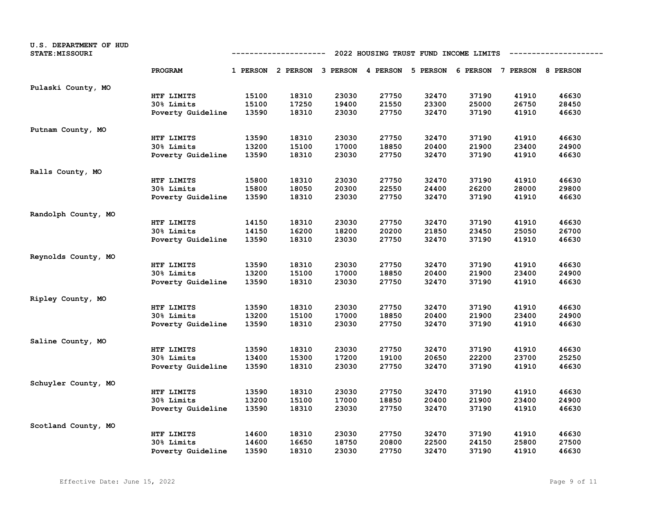| U.S. DEPARTMENT OF HUD<br><b>STATE: MISSOURI</b> | 2022 HOUSING TRUST FUND INCOME LIMITS<br>---------- |       |                                                                         |       |       |       |       |       |       |
|--------------------------------------------------|-----------------------------------------------------|-------|-------------------------------------------------------------------------|-------|-------|-------|-------|-------|-------|
|                                                  | PROGRAM                                             |       | 1 PERSON 2 PERSON 3 PERSON 4 PERSON 5 PERSON 6 PERSON 7 PERSON 8 PERSON |       |       |       |       |       |       |
| Pulaski County, MO                               |                                                     |       |                                                                         |       |       |       |       |       |       |
|                                                  | HTF LIMITS                                          | 15100 | 18310                                                                   | 23030 | 27750 | 32470 | 37190 | 41910 | 46630 |
|                                                  | 30% Limits                                          | 15100 | 17250                                                                   | 19400 | 21550 | 23300 | 25000 | 26750 | 28450 |
|                                                  | Poverty Guideline                                   | 13590 | 18310                                                                   | 23030 | 27750 | 32470 | 37190 | 41910 | 46630 |
| Putnam County, MO                                |                                                     |       |                                                                         |       |       |       |       |       |       |
|                                                  | HTF LIMITS                                          | 13590 | 18310                                                                   | 23030 | 27750 | 32470 | 37190 | 41910 | 46630 |
|                                                  | 30% Limits                                          | 13200 | 15100                                                                   | 17000 | 18850 | 20400 | 21900 | 23400 | 24900 |
|                                                  | Poverty Guideline                                   | 13590 | 18310                                                                   | 23030 | 27750 | 32470 | 37190 | 41910 | 46630 |
| Ralls County, MO                                 |                                                     |       |                                                                         |       |       |       |       |       |       |
|                                                  | HTF LIMITS                                          | 15800 | 18310                                                                   | 23030 | 27750 | 32470 | 37190 | 41910 | 46630 |
|                                                  | 30% Limits                                          | 15800 | 18050                                                                   | 20300 | 22550 | 24400 | 26200 | 28000 | 29800 |
|                                                  | Poverty Guideline                                   | 13590 | 18310                                                                   | 23030 | 27750 | 32470 | 37190 | 41910 | 46630 |
| Randolph County, MO                              |                                                     |       |                                                                         |       |       |       |       |       |       |
|                                                  | HTF LIMITS                                          | 14150 | 18310                                                                   | 23030 | 27750 | 32470 | 37190 | 41910 | 46630 |
|                                                  | 30% Limits                                          | 14150 | 16200                                                                   | 18200 | 20200 | 21850 | 23450 | 25050 | 26700 |
|                                                  | Poverty Guideline                                   | 13590 | 18310                                                                   | 23030 | 27750 | 32470 | 37190 | 41910 | 46630 |
| Reynolds County, MO                              |                                                     |       |                                                                         |       |       |       |       |       |       |
|                                                  | HTF LIMITS                                          | 13590 | 18310                                                                   | 23030 | 27750 | 32470 | 37190 | 41910 | 46630 |
|                                                  | 30% Limits                                          | 13200 | 15100                                                                   | 17000 | 18850 | 20400 | 21900 | 23400 | 24900 |
|                                                  | Poverty Guideline                                   | 13590 | 18310                                                                   | 23030 | 27750 | 32470 | 37190 | 41910 | 46630 |
| Ripley County, MO                                |                                                     |       |                                                                         |       |       |       |       |       |       |
|                                                  | HTF LIMITS                                          | 13590 | 18310                                                                   | 23030 | 27750 | 32470 | 37190 | 41910 | 46630 |
|                                                  | 30% Limits                                          | 13200 | 15100                                                                   | 17000 | 18850 | 20400 | 21900 | 23400 | 24900 |
|                                                  | Poverty Guideline                                   | 13590 | 18310                                                                   | 23030 | 27750 | 32470 | 37190 | 41910 | 46630 |
| Saline County, MO                                |                                                     |       |                                                                         |       |       |       |       |       |       |
|                                                  | HTF LIMITS                                          | 13590 | 18310                                                                   | 23030 | 27750 | 32470 | 37190 | 41910 | 46630 |
|                                                  | 30% Limits                                          | 13400 | 15300                                                                   | 17200 | 19100 | 20650 | 22200 | 23700 | 25250 |
|                                                  | Poverty Guideline                                   | 13590 | 18310                                                                   | 23030 | 27750 | 32470 | 37190 | 41910 | 46630 |
| Schuyler County, MO                              |                                                     |       |                                                                         |       |       |       |       |       |       |
|                                                  | HTF LIMITS                                          | 13590 | 18310                                                                   | 23030 | 27750 | 32470 | 37190 | 41910 | 46630 |
|                                                  | 30% Limits                                          | 13200 | 15100                                                                   | 17000 | 18850 | 20400 | 21900 | 23400 | 24900 |
|                                                  | Poverty Guideline                                   | 13590 | 18310                                                                   | 23030 | 27750 | 32470 | 37190 | 41910 | 46630 |
| Scotland County, MO                              |                                                     |       |                                                                         |       |       |       |       |       |       |
|                                                  | HTF LIMITS                                          | 14600 | 18310                                                                   | 23030 | 27750 | 32470 | 37190 | 41910 | 46630 |
|                                                  | 30% Limits                                          | 14600 | 16650                                                                   | 18750 | 20800 | 22500 | 24150 | 25800 | 27500 |
|                                                  | Poverty Guideline                                   | 13590 | 18310                                                                   | 23030 | 27750 | 32470 | 37190 | 41910 | 46630 |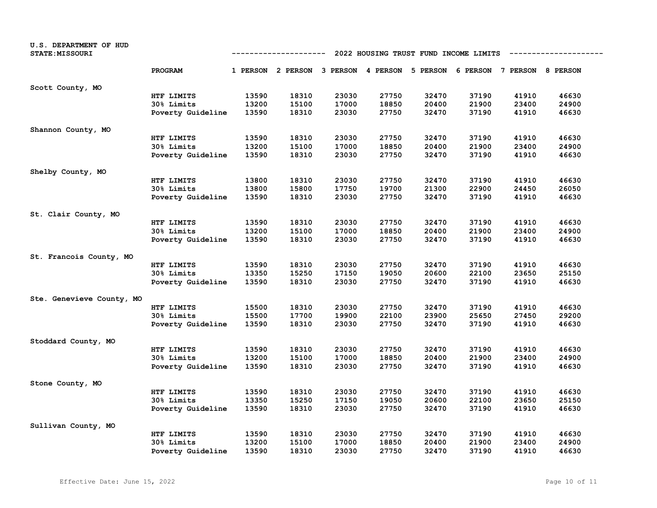| U.S. DEPARTMENT OF HUD<br><b>STATE: MISSOURI</b> |                   | 2022 HOUSING TRUST FUND INCOME LIMITS<br>----------- |                                                                         |       |       |       |       |       |       |  |
|--------------------------------------------------|-------------------|------------------------------------------------------|-------------------------------------------------------------------------|-------|-------|-------|-------|-------|-------|--|
|                                                  | PROGRAM           |                                                      | 1 PERSON 2 PERSON 3 PERSON 4 PERSON 5 PERSON 6 PERSON 7 PERSON 8 PERSON |       |       |       |       |       |       |  |
| Scott County, MO                                 |                   |                                                      |                                                                         |       |       |       |       |       |       |  |
|                                                  | HTF LIMITS        | 13590                                                | 18310                                                                   | 23030 | 27750 | 32470 | 37190 | 41910 | 46630 |  |
|                                                  | 30% Limits        | 13200                                                | 15100                                                                   | 17000 | 18850 | 20400 | 21900 | 23400 | 24900 |  |
|                                                  | Poverty Guideline | 13590                                                | 18310                                                                   | 23030 | 27750 | 32470 | 37190 | 41910 | 46630 |  |
| Shannon County, MO                               |                   |                                                      |                                                                         |       |       |       |       |       |       |  |
|                                                  | HTF LIMITS        | 13590                                                | 18310                                                                   | 23030 | 27750 | 32470 | 37190 | 41910 | 46630 |  |
|                                                  | 30% Limits        | 13200                                                | 15100                                                                   | 17000 | 18850 | 20400 | 21900 | 23400 | 24900 |  |
|                                                  | Poverty Guideline | 13590                                                | 18310                                                                   | 23030 | 27750 | 32470 | 37190 | 41910 | 46630 |  |
| Shelby County, MO                                |                   |                                                      |                                                                         |       |       |       |       |       |       |  |
|                                                  | HTF LIMITS        | 13800                                                | 18310                                                                   | 23030 | 27750 | 32470 | 37190 | 41910 | 46630 |  |
|                                                  | 30% Limits        | 13800                                                | 15800                                                                   | 17750 | 19700 | 21300 | 22900 | 24450 | 26050 |  |
|                                                  | Poverty Guideline | 13590                                                | 18310                                                                   | 23030 | 27750 | 32470 | 37190 | 41910 | 46630 |  |
| St. Clair County, MO                             |                   |                                                      |                                                                         |       |       |       |       |       |       |  |
|                                                  | HTF LIMITS        | 13590                                                | 18310                                                                   | 23030 | 27750 | 32470 | 37190 | 41910 | 46630 |  |
|                                                  | 30% Limits        | 13200                                                | 15100                                                                   | 17000 | 18850 | 20400 | 21900 | 23400 | 24900 |  |
|                                                  | Poverty Guideline | 13590                                                | 18310                                                                   | 23030 | 27750 | 32470 | 37190 | 41910 | 46630 |  |
| St. Francois County, MO                          |                   |                                                      |                                                                         |       |       |       |       |       |       |  |
|                                                  | HTF LIMITS        | 13590                                                | 18310                                                                   | 23030 | 27750 | 32470 | 37190 | 41910 | 46630 |  |
|                                                  | 30% Limits        | 13350                                                | 15250                                                                   | 17150 | 19050 | 20600 | 22100 | 23650 | 25150 |  |
|                                                  | Poverty Guideline | 13590                                                | 18310                                                                   | 23030 | 27750 | 32470 | 37190 | 41910 | 46630 |  |
| Ste. Genevieve County, MO                        |                   |                                                      |                                                                         |       |       |       |       |       |       |  |
|                                                  | HTF LIMITS        | 15500                                                | 18310                                                                   | 23030 | 27750 | 32470 | 37190 | 41910 | 46630 |  |
|                                                  | 30% Limits        | 15500                                                | 17700                                                                   | 19900 | 22100 | 23900 | 25650 | 27450 | 29200 |  |
|                                                  | Poverty Guideline | 13590                                                | 18310                                                                   | 23030 | 27750 | 32470 | 37190 | 41910 | 46630 |  |
| Stoddard County, MO                              |                   |                                                      |                                                                         |       |       |       |       |       |       |  |
|                                                  | HTF LIMITS        | 13590                                                | 18310                                                                   | 23030 | 27750 | 32470 | 37190 | 41910 | 46630 |  |
|                                                  | 30% Limits        | 13200                                                | 15100                                                                   | 17000 | 18850 | 20400 | 21900 | 23400 | 24900 |  |
|                                                  | Poverty Guideline | 13590                                                | 18310                                                                   | 23030 | 27750 | 32470 | 37190 | 41910 | 46630 |  |
| Stone County, MO                                 |                   |                                                      |                                                                         |       |       |       |       |       |       |  |
|                                                  | HTF LIMITS        | 13590                                                | 18310                                                                   | 23030 | 27750 | 32470 | 37190 | 41910 | 46630 |  |
|                                                  | 30% Limits        | 13350                                                | 15250                                                                   | 17150 | 19050 | 20600 | 22100 | 23650 | 25150 |  |
|                                                  | Poverty Guideline | 13590                                                | 18310                                                                   | 23030 | 27750 | 32470 | 37190 | 41910 | 46630 |  |
| Sullivan County, MO                              |                   |                                                      |                                                                         |       |       |       |       |       |       |  |
|                                                  | HTF LIMITS        | 13590                                                | 18310                                                                   | 23030 | 27750 | 32470 | 37190 | 41910 | 46630 |  |
|                                                  | 30% Limits        | 13200                                                | 15100                                                                   | 17000 | 18850 | 20400 | 21900 | 23400 | 24900 |  |
|                                                  | Poverty Guideline | 13590                                                | 18310                                                                   | 23030 | 27750 | 32470 | 37190 | 41910 | 46630 |  |